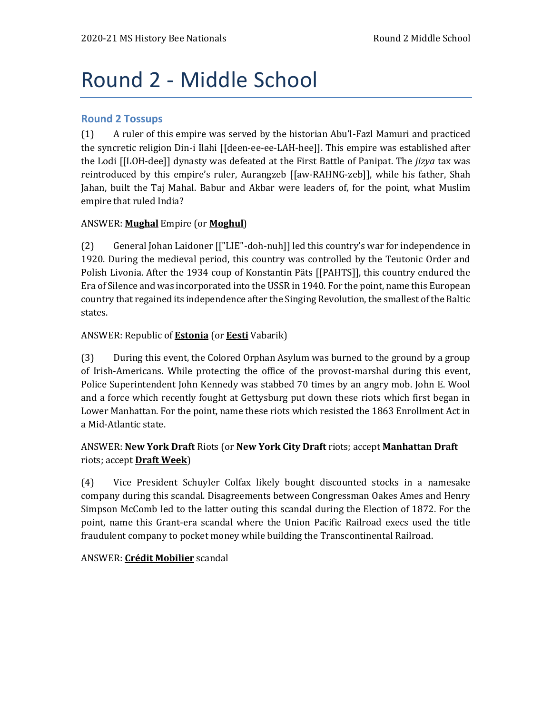# Round 2 - Middle School

## **Round 2 Tossups**

(1) A ruler of this empire was served by the historian Abu'l-Fazl Mamuri and practiced the syncretic religion Din-i Ilahi [[deen-ee-ee-LAH-hee]]. This empire was established after the Lodi [[LOH-dee]] dynasty was defeated at the First Battle of Panipat. The *jizya* tax was reintroduced by this empire's ruler, Aurangzeb [[aw-RAHNG-zeb]], while his father, Shah Jahan, built the Taj Mahal. Babur and Akbar were leaders of, for the point, what Muslim empire that ruled India?

## ANSWER: **Mughal** Empire (or **Moghul**)

(2) General Johan Laidoner [["LIE"-doh-nuh]] led this country's war for independence in 1920. During the medieval period, this country was controlled by the Teutonic Order and Polish Livonia. After the 1934 coup of Konstantin Päts [[PAHTS]], this country endured the Era of Silence and was incorporated into the USSR in 1940. For the point, name this European country that regained its independence after the Singing Revolution, the smallest of the Baltic states.

## ANSWER: Republic of **Estonia** (or **Eesti** Vabarik)

(3) During this event, the Colored Orphan Asylum was burned to the ground by a group of Irish-Americans. While protecting the office of the provost-marshal during this event, Police Superintendent John Kennedy was stabbed 70 times by an angry mob. John E. Wool and a force which recently fought at Gettysburg put down these riots which first began in Lower Manhattan. For the point, name these riots which resisted the 1863 Enrollment Act in a Mid-Atlantic state.

## ANSWER: **New York Draft** Riots (or **New York City Draft** riots; accept **Manhattan Draft** riots; accept **Draft Week**)

(4) Vice President Schuyler Colfax likely bought discounted stocks in a namesake company during this scandal. Disagreements between Congressman Oakes Ames and Henry Simpson McComb led to the latter outing this scandal during the Election of 1872. For the point, name this Grant-era scandal where the Union Pacific Railroad execs used the title fraudulent company to pocket money while building the Transcontinental Railroad.

#### ANSWER: **Crédit Mobilier** scandal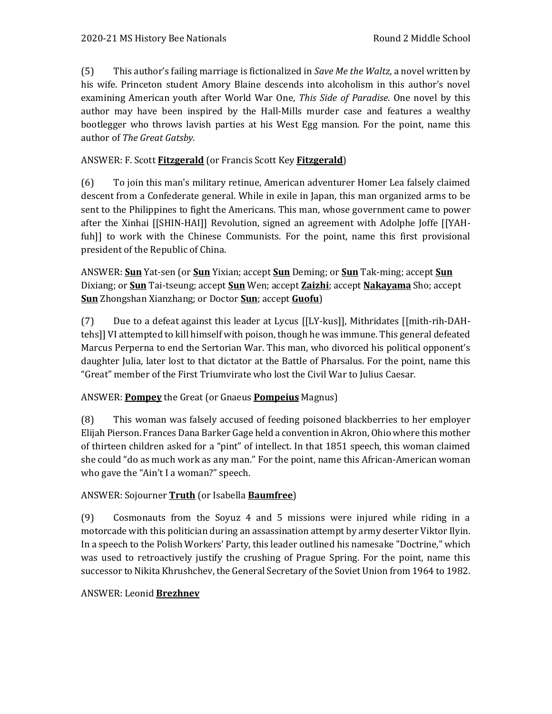(5) This author's failing marriage is fictionalized in *Save Me the Waltz*, a novel written by his wife. Princeton student Amory Blaine descends into alcoholism in this author's novel examining American youth after World War One, *This Side of Paradise*. One novel by this author may have been inspired by the Hall-Mills murder case and features a wealthy bootlegger who throws lavish parties at his West Egg mansion. For the point, name this author of *The Great Gatsby*.

# ANSWER: F. Scott **Fitzgerald** (or Francis Scott Key **Fitzgerald**)

(6) To join this man's military retinue, American adventurer Homer Lea falsely claimed descent from a Confederate general. While in exile in Japan, this man organized arms to be sent to the Philippines to fight the Americans. This man, whose government came to power after the Xinhai [[SHIN-HAI]] Revolution, signed an agreement with Adolphe Joffe [[YAHfuh]] to work with the Chinese Communists. For the point, name this first provisional president of the Republic of China.

ANSWER: **Sun** Yat-sen (or **Sun** Yixian; accept **Sun** Deming; or **Sun** Tak-ming; accept **Sun** Dixiang; or **Sun** Tai-tseung; accept **Sun** Wen; accept **Zaizhi**; accept **Nakayama** Sho; accept **Sun** Zhongshan Xianzhang; or Doctor **Sun**; accept **Guofu**)

(7) Due to a defeat against this leader at Lycus [[LY-kus]], Mithridates [[mith-rih-DAHtehs]] VI attempted to kill himself with poison, though he was immune. This general defeated Marcus Perperna to end the Sertorian War. This man, who divorced his political opponent's daughter Julia, later lost to that dictator at the Battle of Pharsalus. For the point, name this "Great" member of the First Triumvirate who lost the Civil War to Julius Caesar.

## ANSWER: **Pompey** the Great (or Gnaeus **Pompeius** Magnus)

(8) This woman was falsely accused of feeding poisoned blackberries to her employer Elijah Pierson. Frances Dana Barker Gage held a convention in Akron, Ohio where this mother of thirteen children asked for a "pint" of intellect. In that 1851 speech, this woman claimed she could "do as much work as any man." For the point, name this African-American woman who gave the "Ain't I a woman?" speech.

## ANSWER: Sojourner **Truth** (or Isabella **Baumfree**)

(9) Cosmonauts from the Soyuz 4 and 5 missions were injured while riding in a motorcade with this politician during an assassination attempt by army deserter Viktor Ilyin. In a speech to the Polish Workers' Party, this leader outlined his namesake "Doctrine," which was used to retroactively justify the crushing of Prague Spring. For the point, name this successor to Nikita Khrushchev, the General Secretary of the Soviet Union from 1964 to 1982.

## ANSWER: Leonid **Brezhnev**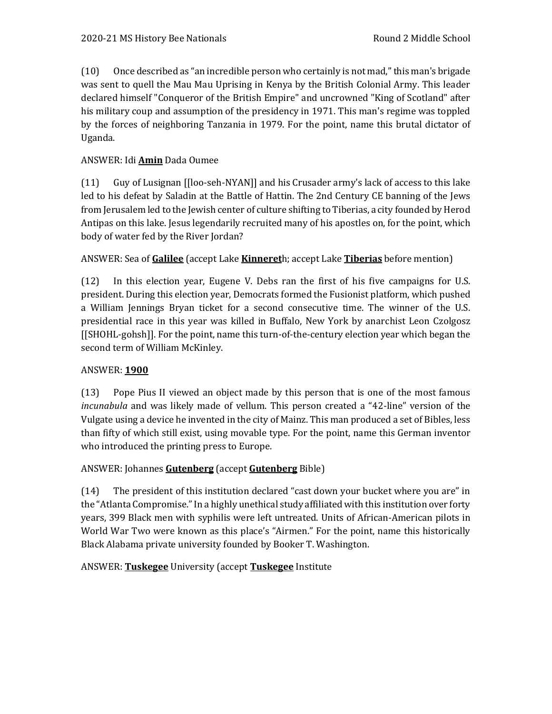(10) Once described as "an incredible person who certainly is not mad," this man's brigade was sent to quell the Mau Mau Uprising in Kenya by the British Colonial Army. This leader declared himself "Conqueror of the British Empire" and uncrowned "King of Scotland" after his military coup and assumption of the presidency in 1971. This man's regime was toppled by the forces of neighboring Tanzania in 1979. For the point, name this brutal dictator of Uganda.

## ANSWER: Idi **Amin** Dada Oumee

(11) Guy of Lusignan [[loo-seh-NYAN]] and his Crusader army's lack of access to this lake led to his defeat by Saladin at the Battle of Hattin. The 2nd Century CE banning of the Jews from Jerusalem led to the Jewish center of culture shifting to Tiberias, a city founded by Herod Antipas on this lake. Jesus legendarily recruited many of his apostles on, for the point, which body of water fed by the River Jordan?

## ANSWER: Sea of **Galilee** (accept Lake **Kinneret**h; accept Lake **Tiberias** before mention)

(12) In this election year, Eugene V. Debs ran the first of his five campaigns for U.S. president. During this election year, Democrats formed the Fusionist platform, which pushed a William Jennings Bryan ticket for a second consecutive time. The winner of the U.S. presidential race in this year was killed in Buffalo, New York by anarchist Leon Czolgosz [[SHOHL-gohsh]]. For the point, name this turn-of-the-century election year which began the second term of William McKinley.

## ANSWER: **1900**

(13) Pope Pius II viewed an object made by this person that is one of the most famous *incunabula* and was likely made of vellum. This person created a "42-line" version of the Vulgate using a device he invented in the city of Mainz. This man produced a set of Bibles, less than fifty of which still exist, using movable type. For the point, name this German inventor who introduced the printing press to Europe.

## ANSWER: Johannes **Gutenberg** (accept **Gutenberg** Bible)

(14) The president of this institution declared "cast down your bucket where you are" in the "Atlanta Compromise." In a highly unethical study affiliated with this institution over forty years, 399 Black men with syphilis were left untreated. Units of African-American pilots in World War Two were known as this place's "Airmen." For the point, name this historically Black Alabama private university founded by Booker T. Washington.

ANSWER: **Tuskegee** University (accept **Tuskegee** Institute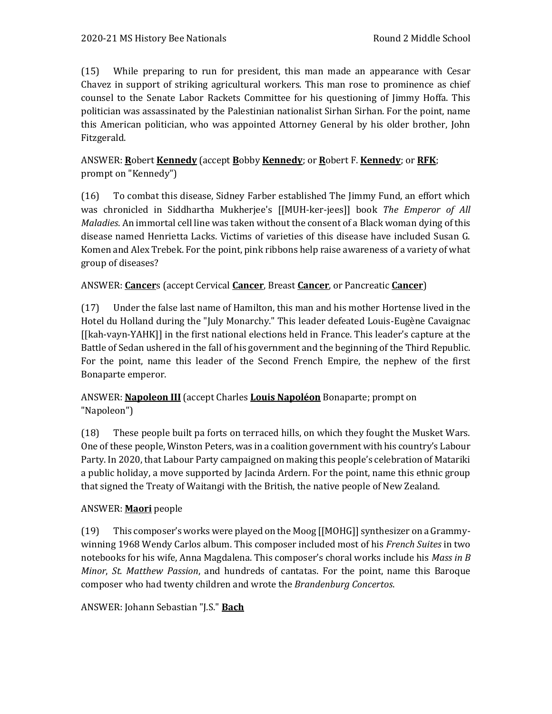(15) While preparing to run for president, this man made an appearance with Cesar Chavez in support of striking agricultural workers. This man rose to prominence as chief counsel to the Senate Labor Rackets Committee for his questioning of Jimmy Hoffa. This politician was assassinated by the Palestinian nationalist Sirhan Sirhan. For the point, name this American politician, who was appointed Attorney General by his older brother, John Fitzgerald.

# ANSWER: **R**obert **Kennedy** (accept **B**obby **Kennedy**; or **R**obert F. **Kennedy**; or **RFK**; prompt on "Kennedy")

(16) To combat this disease, Sidney Farber established The Jimmy Fund, an effort which was chronicled in Siddhartha Mukherjee's [[MUH-ker-jees]] book *The Emperor of All Maladies*. An immortal cell line was taken without the consent of a Black woman dying of this disease named Henrietta Lacks. Victims of varieties of this disease have included Susan G. Komen and Alex Trebek. For the point, pink ribbons help raise awareness of a variety of what group of diseases?

# ANSWER: **Cancer**s (accept Cervical **Cancer**, Breast **Cancer**, or Pancreatic **Cancer**)

(17) Under the false last name of Hamilton, this man and his mother Hortense lived in the Hotel du Holland during the "July Monarchy." This leader defeated Louis-Eugène Cavaignac [[kah-vayn-YAHK]] in the first national elections held in France. This leader's capture at the Battle of Sedan ushered in the fall of his government and the beginning of the Third Republic. For the point, name this leader of the Second French Empire, the nephew of the first Bonaparte emperor.

# ANSWER: **Napoleon III** (accept Charles **Louis Napoléon** Bonaparte; prompt on "Napoleon")

(18) These people built pa forts on terraced hills, on which they fought the Musket Wars. One of these people, Winston Peters, was in a coalition government with his country's Labour Party. In 2020, that Labour Party campaigned on making this people's celebration of Matariki a public holiday, a move supported by Jacinda Ardern. For the point, name this ethnic group that signed the Treaty of Waitangi with the British, the native people of New Zealand.

# ANSWER: **Maori** people

(19) This composer's works were played on the Moog [[MOHG]] synthesizer on a Grammywinning 1968 Wendy Carlos album. This composer included most of his *French Suites* in two notebooks for his wife, Anna Magdalena. This composer's choral works include his *Mass in B Minor*, *St. Matthew Passion*, and hundreds of cantatas. For the point, name this Baroque composer who had twenty children and wrote the *Brandenburg Concertos*.

ANSWER: Johann Sebastian "J.S." **Bach**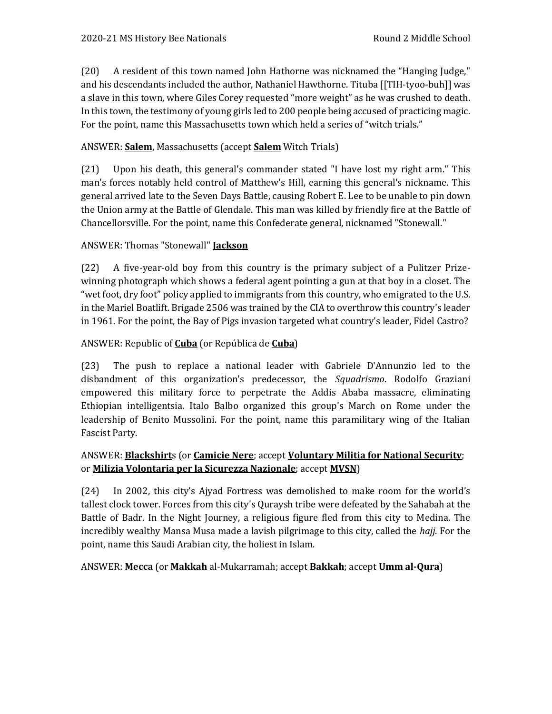(20) A resident of this town named John Hathorne was nicknamed the "Hanging Judge," and his descendants included the author, Nathaniel Hawthorne. Tituba [[TIH-tyoo-buh]] was a slave in this town, where Giles Corey requested "more weight" as he was crushed to death. In this town, the testimony of young girls led to 200 people being accused of practicing magic. For the point, name this Massachusetts town which held a series of "witch trials."

# ANSWER: **Salem**, Massachusetts (accept **Salem** Witch Trials)

(21) Upon his death, this general's commander stated "I have lost my right arm." This man's forces notably held control of Matthew's Hill, earning this general's nickname. This general arrived late to the Seven Days Battle, causing Robert E. Lee to be unable to pin down the Union army at the Battle of Glendale. This man was killed by friendly fire at the Battle of Chancellorsville. For the point, name this Confederate general, nicknamed "Stonewall."

## ANSWER: Thomas "Stonewall" **Jackson**

(22) A five-year-old boy from this country is the primary subject of a Pulitzer Prizewinning photograph which shows a federal agent pointing a gun at that boy in a closet. The "wet foot, dry foot" policy applied to immigrants from this country, who emigrated to the U.S. in the Mariel Boatlift. Brigade 2506 was trained by the CIA to overthrow this country's leader in 1961. For the point, the Bay of Pigs invasion targeted what country's leader, Fidel Castro?

## ANSWER: Republic of **Cuba** (or República de **Cuba**)

(23) The push to replace a national leader with Gabriele D'Annunzio led to the disbandment of this organization's predecessor, the *Squadrismo*. Rodolfo Graziani empowered this military force to perpetrate the Addis Ababa massacre, eliminating Ethiopian intelligentsia. Italo Balbo organized this group's March on Rome under the leadership of Benito Mussolini. For the point, name this paramilitary wing of the Italian Fascist Party.

## ANSWER: **Blackshirt**s (or **Camicie Nere**; accept **Voluntary Militia for National Security**; or **Milizia Volontaria per la Sicurezza Nazionale**; accept **MVSN**)

(24) In 2002, this city's Ajyad Fortress was demolished to make room for the world's tallest clock tower. Forces from this city's Quraysh tribe were defeated by the Sahabah at the Battle of Badr. In the Night Journey, a religious figure fled from this city to Medina. The incredibly wealthy Mansa Musa made a lavish pilgrimage to this city, called the *hajj*. For the point, name this Saudi Arabian city, the holiest in Islam.

## ANSWER: **Mecca** (or **Makkah** al-Mukarramah; accept **Bakkah**; accept **Umm al-Qura**)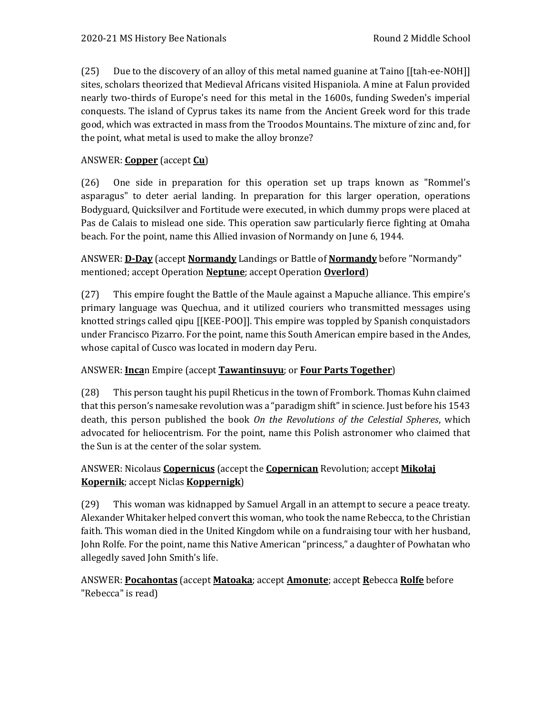(25) Due to the discovery of an alloy of this metal named guanine at Taino [[tah-ee-NOH]] sites, scholars theorized that Medieval Africans visited Hispaniola. A mine at Falun provided nearly two-thirds of Europe's need for this metal in the 1600s, funding Sweden's imperial conquests. The island of Cyprus takes its name from the Ancient Greek word for this trade good, which was extracted in mass from the Troodos Mountains. The mixture of zinc and, for the point, what metal is used to make the alloy bronze?

# ANSWER: **Copper** (accept **Cu**)

(26) One side in preparation for this operation set up traps known as "Rommel's asparagus" to deter aerial landing. In preparation for this larger operation, operations Bodyguard, Quicksilver and Fortitude were executed, in which dummy props were placed at Pas de Calais to mislead one side. This operation saw particularly fierce fighting at Omaha beach. For the point, name this Allied invasion of Normandy on June 6, 1944.

ANSWER: **D-Day** (accept **Normandy** Landings or Battle of **Normandy** before "Normandy" mentioned; accept Operation **Neptune**; accept Operation **Overlord**)

(27) This empire fought the Battle of the Maule against a Mapuche alliance. This empire's primary language was Quechua, and it utilized couriers who transmitted messages using knotted strings called qipu [[KEE-POO]]. This empire was toppled by Spanish conquistadors under Francisco Pizarro. For the point, name this South American empire based in the Andes, whose capital of Cusco was located in modern day Peru.

## ANSWER: **Inca**n Empire (accept **Tawantinsuyu**; or **Four Parts Together**)

(28) This person taught his pupil Rheticus in the town of Frombork. Thomas Kuhn claimed that this person's namesake revolution was a "paradigm shift" in science. Just before his 1543 death, this person published the book *On the Revolutions of the Celestial Spheres*, which advocated for heliocentrism. For the point, name this Polish astronomer who claimed that the Sun is at the center of the solar system.

## ANSWER: Nicolaus **Copernicus** (accept the **Copernican** Revolution; accept **Mikołaj Kopernik**; accept Niclas **Koppernigk**)

(29) This woman was kidnapped by Samuel Argall in an attempt to secure a peace treaty. Alexander Whitaker helped convert this woman, who took the name Rebecca, to the Christian faith. This woman died in the United Kingdom while on a fundraising tour with her husband, John Rolfe. For the point, name this Native American "princess," a daughter of Powhatan who allegedly saved John Smith's life.

## ANSWER: **Pocahontas** (accept **Matoaka**; accept **Amonute**; accept **R**ebecca **Rolfe** before "Rebecca" is read)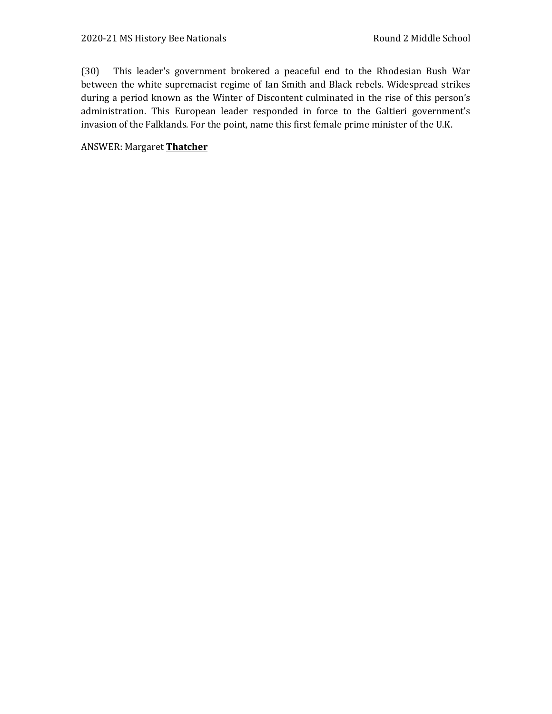(30) This leader's government brokered a peaceful end to the Rhodesian Bush War between the white supremacist regime of Ian Smith and Black rebels. Widespread strikes during a period known as the Winter of Discontent culminated in the rise of this person's administration. This European leader responded in force to the Galtieri government's invasion of the Falklands. For the point, name this first female prime minister of the U.K.

ANSWER: Margaret **Thatcher**